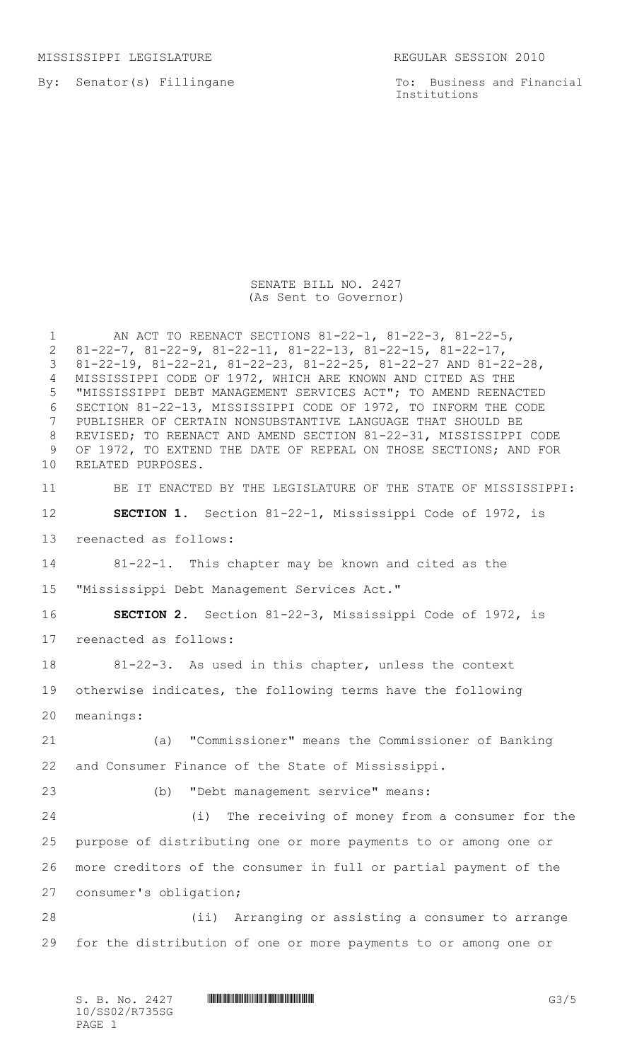MISSISSIPPI LEGISLATURE REGULAR SESSION 2010

By: Senator(s) Fillingane

To: Business and Financial Institutions

## SENATE BILL NO. 2427 (As Sent to Governor)

 AN ACT TO REENACT SECTIONS 81-22-1, 81-22-3, 81-22-5, 81-22-7, 81-22-9, 81-22-11, 81-22-13, 81-22-15, 81-22-17, 81-22-19, 81-22-21, 81-22-23, 81-22-25, 81-22-27 AND 81-22-28, MISSISSIPPI CODE OF 1972, WHICH ARE KNOWN AND CITED AS THE "MISSISSIPPI DEBT MANAGEMENT SERVICES ACT"; TO AMEND REENACTED SECTION 81-22-13, MISSISSIPPI CODE OF 1972, TO INFORM THE CODE PUBLISHER OF CERTAIN NONSUBSTANTIVE LANGUAGE THAT SHOULD BE REVISED; TO REENACT AND AMEND SECTION 81-22-31, MISSISSIPPI CODE OF 1972, TO EXTEND THE DATE OF REPEAL ON THOSE SECTIONS; AND FOR RELATED PURPOSES. BE IT ENACTED BY THE LEGISLATURE OF THE STATE OF MISSISSIPPI: **SECTION 1.** Section 81-22-1, Mississippi Code of 1972, is reenacted as follows: 81-22-1. This chapter may be known and cited as the "Mississippi Debt Management Services Act." **SECTION 2.** Section 81-22-3, Mississippi Code of 1972, is reenacted as follows: 81-22-3. As used in this chapter, unless the context otherwise indicates, the following terms have the following meanings: (a)"Commissioner" means the Commissioner of Banking and Consumer Finance of the State of Mississippi. (b) "Debt management service" means: (i) The receiving of money from a consumer for the purpose of distributing one or more payments to or among one or more creditors of the consumer in full or partial payment of the consumer's obligation; (ii) Arranging or assisting a consumer to arrange for the distribution of one or more payments to or among one or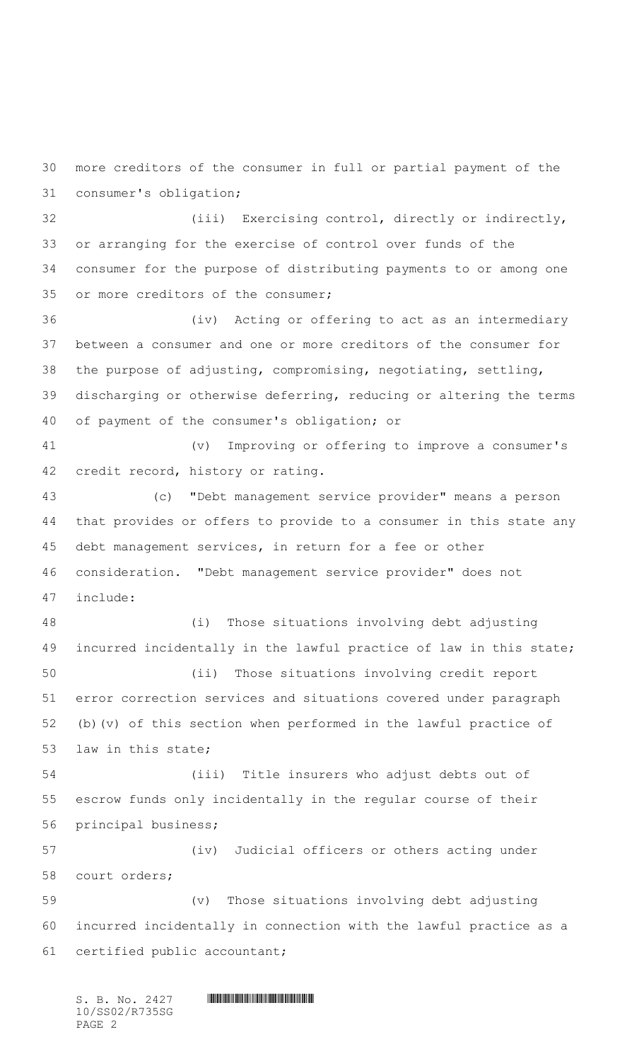more creditors of the consumer in full or partial payment of the consumer's obligation;

 (iii) Exercising control, directly or indirectly, or arranging for the exercise of control over funds of the consumer for the purpose of distributing payments to or among one or more creditors of the consumer;

 (iv) Acting or offering to act as an intermediary between a consumer and one or more creditors of the consumer for the purpose of adjusting, compromising, negotiating, settling, discharging or otherwise deferring, reducing or altering the terms of payment of the consumer's obligation; or

 (v) Improving or offering to improve a consumer's credit record, history or rating.

 (c) "Debt management service provider" means a person that provides or offers to provide to a consumer in this state any debt management services, in return for a fee or other consideration. "Debt management service provider" does not include:

 (i) Those situations involving debt adjusting incurred incidentally in the lawful practice of law in this state; (ii) Those situations involving credit report error correction services and situations covered under paragraph (b)(v) of this section when performed in the lawful practice of law in this state;

 (iii) Title insurers who adjust debts out of escrow funds only incidentally in the regular course of their principal business;

 (iv) Judicial officers or others acting under court orders; (v) Those situations involving debt adjusting

 incurred incidentally in connection with the lawful practice as a certified public accountant;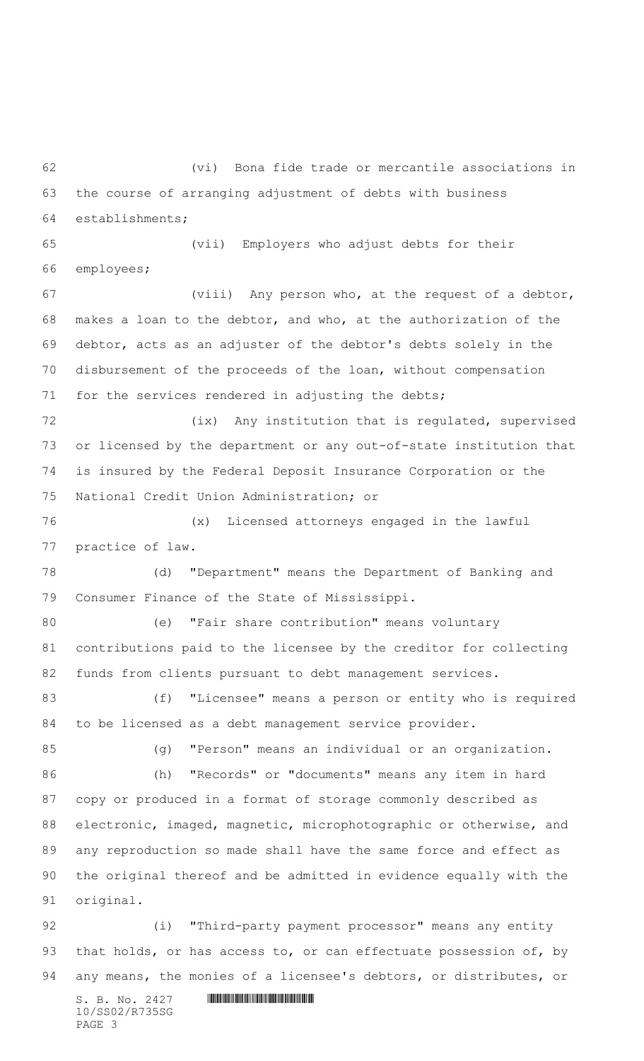$S. B. No. 2427$  **. Souther and assumption**  (vi) Bona fide trade or mercantile associations in the course of arranging adjustment of debts with business establishments; (vii) Employers who adjust debts for their employees; (viii) Any person who, at the request of a debtor, makes a loan to the debtor, and who, at the authorization of the debtor, acts as an adjuster of the debtor's debts solely in the disbursement of the proceeds of the loan, without compensation for the services rendered in adjusting the debts; 72 (ix) Any institution that is regulated, supervised or licensed by the department or any out-of-state institution that is insured by the Federal Deposit Insurance Corporation or the National Credit Union Administration; or (x) Licensed attorneys engaged in the lawful practice of law. (d) "Department" means the Department of Banking and Consumer Finance of the State of Mississippi. (e) "Fair share contribution" means voluntary contributions paid to the licensee by the creditor for collecting funds from clients pursuant to debt management services. (f) "Licensee" means a person or entity who is required to be licensed as a debt management service provider. (g) "Person" means an individual or an organization. (h) "Records" or "documents" means any item in hard copy or produced in a format of storage commonly described as electronic, imaged, magnetic, microphotographic or otherwise, and any reproduction so made shall have the same force and effect as the original thereof and be admitted in evidence equally with the original. (i) "Third-party payment processor" means any entity 93 that holds, or has access to, or can effectuate possession of, by any means, the monies of a licensee's debtors, or distributes, or

10/SS02/R735SG PAGE 3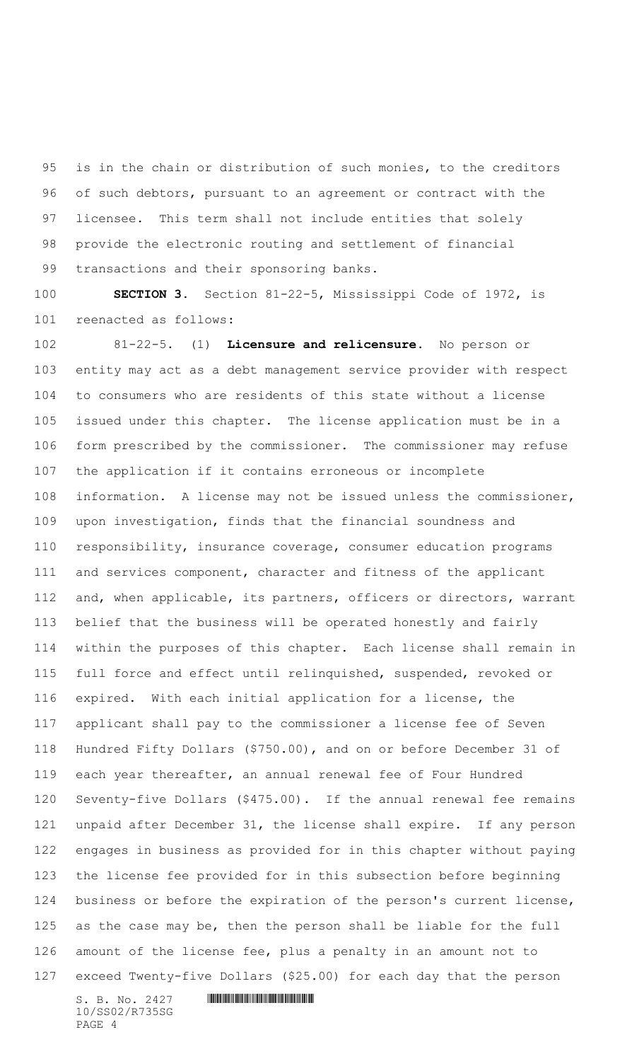is in the chain or distribution of such monies, to the creditors of such debtors, pursuant to an agreement or contract with the licensee. This term shall not include entities that solely provide the electronic routing and settlement of financial transactions and their sponsoring banks.

 **SECTION 3.** Section 81-22-5, Mississippi Code of 1972, is reenacted as follows:

 81-22-5. (1) **Licensure and relicensure.** No person or entity may act as a debt management service provider with respect to consumers who are residents of this state without a license issued under this chapter. The license application must be in a form prescribed by the commissioner. The commissioner may refuse the application if it contains erroneous or incomplete information. A license may not be issued unless the commissioner, upon investigation, finds that the financial soundness and responsibility, insurance coverage, consumer education programs and services component, character and fitness of the applicant and, when applicable, its partners, officers or directors, warrant belief that the business will be operated honestly and fairly within the purposes of this chapter. Each license shall remain in full force and effect until relinquished, suspended, revoked or expired. With each initial application for a license, the applicant shall pay to the commissioner a license fee of Seven Hundred Fifty Dollars (\$750.00), and on or before December 31 of each year thereafter, an annual renewal fee of Four Hundred Seventy-five Dollars (\$475.00). If the annual renewal fee remains unpaid after December 31, the license shall expire. If any person engages in business as provided for in this chapter without paying the license fee provided for in this subsection before beginning business or before the expiration of the person's current license, as the case may be, then the person shall be liable for the full amount of the license fee, plus a penalty in an amount not to exceed Twenty-five Dollars (\$25.00) for each day that the person

10/SS02/R735SG PAGE 4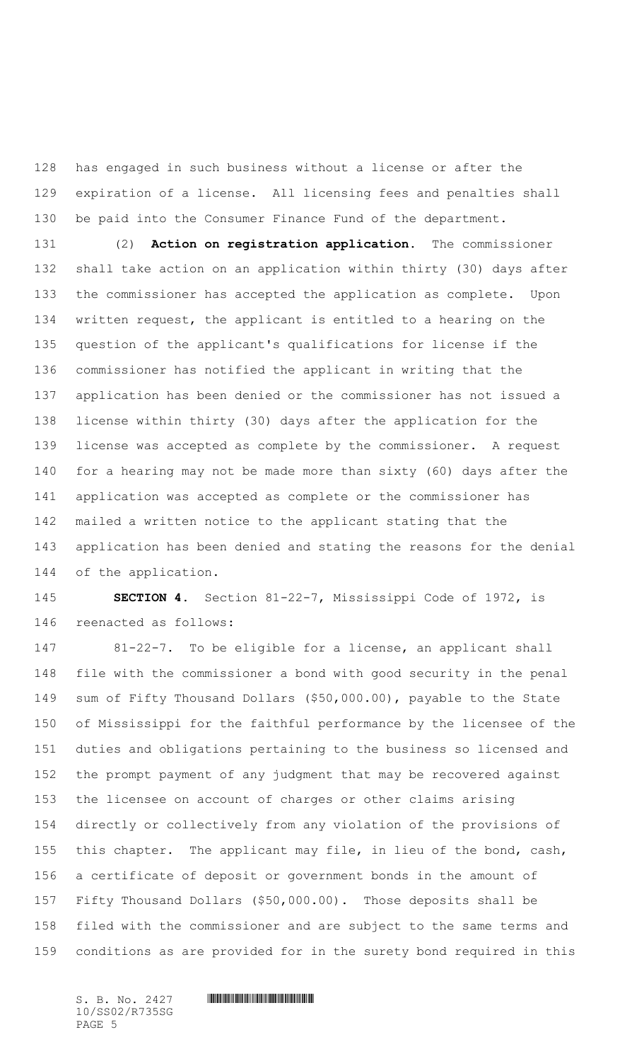has engaged in such business without a license or after the expiration of a license. All licensing fees and penalties shall 130 be paid into the Consumer Finance Fund of the department.

 (2) **Action on registration application.** The commissioner shall take action on an application within thirty (30) days after the commissioner has accepted the application as complete. Upon written request, the applicant is entitled to a hearing on the question of the applicant's qualifications for license if the commissioner has notified the applicant in writing that the application has been denied or the commissioner has not issued a license within thirty (30) days after the application for the license was accepted as complete by the commissioner. A request for a hearing may not be made more than sixty (60) days after the application was accepted as complete or the commissioner has mailed a written notice to the applicant stating that the application has been denied and stating the reasons for the denial of the application.

 **SECTION 4.** Section 81-22-7, Mississippi Code of 1972, is reenacted as follows:

 81-22-7. To be eligible for a license, an applicant shall file with the commissioner a bond with good security in the penal sum of Fifty Thousand Dollars (\$50,000.00), payable to the State of Mississippi for the faithful performance by the licensee of the duties and obligations pertaining to the business so licensed and the prompt payment of any judgment that may be recovered against the licensee on account of charges or other claims arising directly or collectively from any violation of the provisions of this chapter. The applicant may file, in lieu of the bond, cash, a certificate of deposit or government bonds in the amount of Fifty Thousand Dollars (\$50,000.00). Those deposits shall be filed with the commissioner and are subject to the same terms and conditions as are provided for in the surety bond required in this

10/SS02/R735SG PAGE 5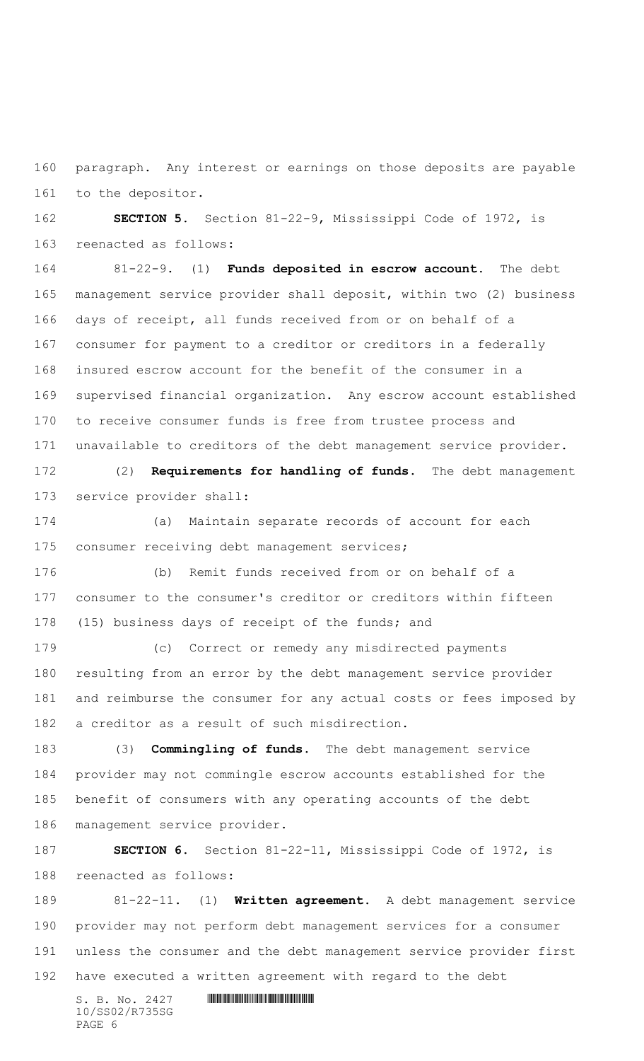paragraph. Any interest or earnings on those deposits are payable to the depositor.

 **SECTION 5.** Section 81-22-9, Mississippi Code of 1972, is reenacted as follows:

 81-22-9. (1) **Funds deposited in escrow account.** The debt management service provider shall deposit, within two (2) business days of receipt, all funds received from or on behalf of a consumer for payment to a creditor or creditors in a federally insured escrow account for the benefit of the consumer in a supervised financial organization. Any escrow account established to receive consumer funds is free from trustee process and unavailable to creditors of the debt management service provider.

 (2) **Requirements for handling of funds.** The debt management service provider shall:

 (a) Maintain separate records of account for each consumer receiving debt management services;

 (b) Remit funds received from or on behalf of a consumer to the consumer's creditor or creditors within fifteen (15) business days of receipt of the funds; and

 (c) Correct or remedy any misdirected payments resulting from an error by the debt management service provider and reimburse the consumer for any actual costs or fees imposed by a creditor as a result of such misdirection.

 (3) **Commingling of funds.** The debt management service provider may not commingle escrow accounts established for the benefit of consumers with any operating accounts of the debt management service provider.

 **SECTION 6.** Section 81-22-11, Mississippi Code of 1972, is reenacted as follows:

 81-22-11. (1) **Written agreement.** A debt management service provider may not perform debt management services for a consumer unless the consumer and the debt management service provider first have executed a written agreement with regard to the debt

10/SS02/R735SG PAGE 6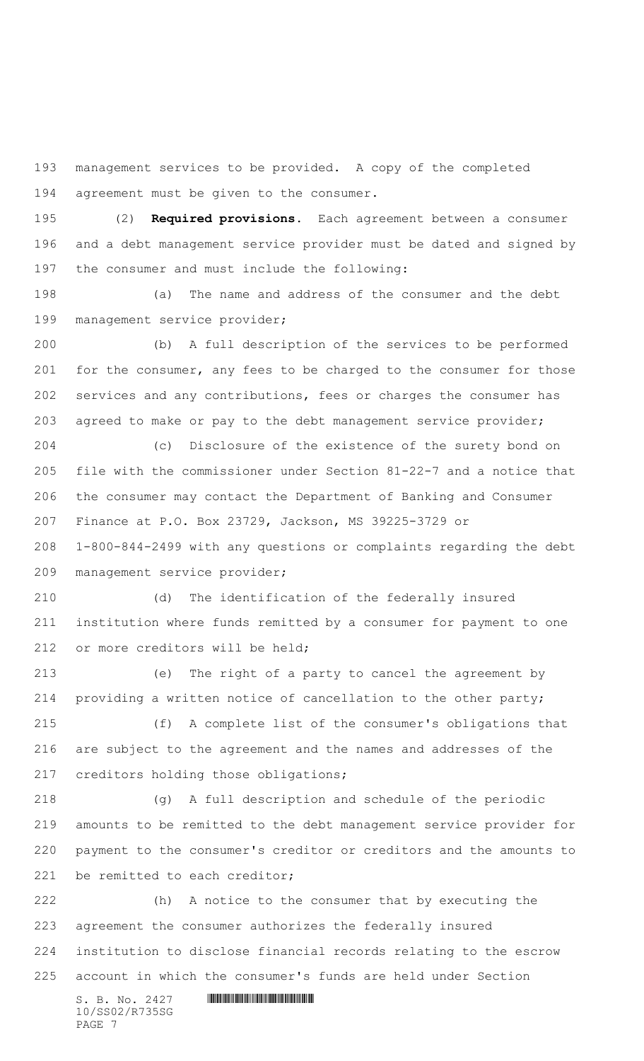management services to be provided. A copy of the completed agreement must be given to the consumer.

 (2) **Required provisions.** Each agreement between a consumer and a debt management service provider must be dated and signed by the consumer and must include the following:

 (a) The name and address of the consumer and the debt management service provider;

 (b) A full description of the services to be performed for the consumer, any fees to be charged to the consumer for those services and any contributions, fees or charges the consumer has agreed to make or pay to the debt management service provider;

 (c) Disclosure of the existence of the surety bond on file with the commissioner under Section 81-22-7 and a notice that the consumer may contact the Department of Banking and Consumer Finance at P.O. Box 23729, Jackson, MS 39225-3729 or 1-800-844-2499 with any questions or complaints regarding the debt

management service provider;

 (d) The identification of the federally insured institution where funds remitted by a consumer for payment to one 212 or more creditors will be held;

 (e) The right of a party to cancel the agreement by providing a written notice of cancellation to the other party;

 (f) A complete list of the consumer's obligations that are subject to the agreement and the names and addresses of the creditors holding those obligations;

 (g) A full description and schedule of the periodic amounts to be remitted to the debt management service provider for payment to the consumer's creditor or creditors and the amounts to 221 be remitted to each creditor;

 $S. B. No. 2427$  **. Souther and assumption**  (h) A notice to the consumer that by executing the agreement the consumer authorizes the federally insured institution to disclose financial records relating to the escrow account in which the consumer's funds are held under Section

10/SS02/R735SG PAGE 7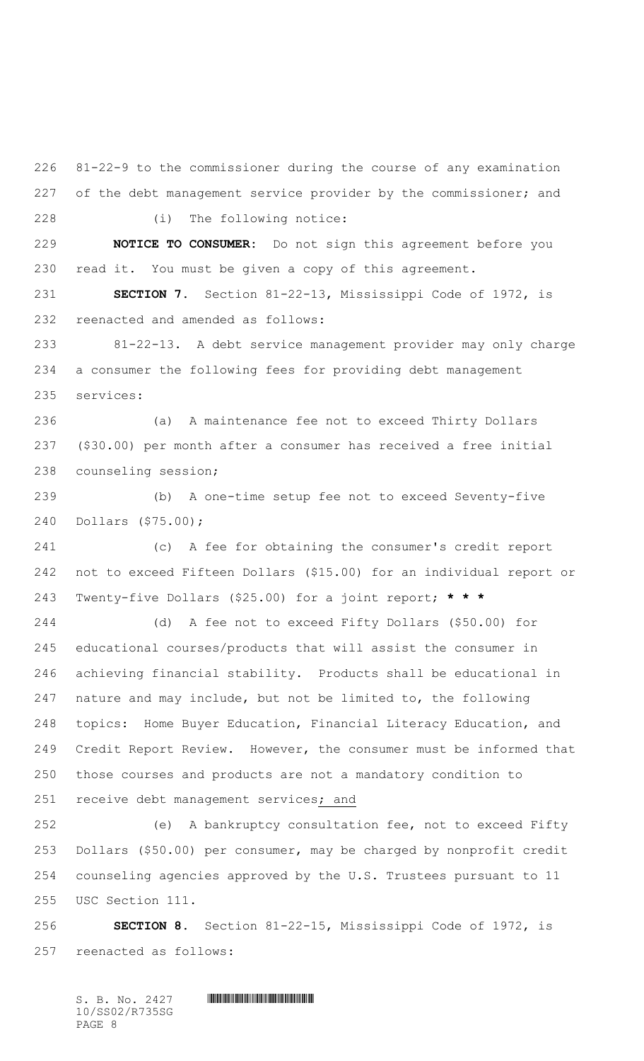81-22-9 to the commissioner during the course of any examination 227 of the debt management service provider by the commissioner; and (i) The following notice:

 **NOTICE TO CONSUMER:** Do not sign this agreement before you read it. You must be given a copy of this agreement.

 **SECTION 7.** Section 81-22-13, Mississippi Code of 1972, is reenacted and amended as follows:

 81-22-13. A debt service management provider may only charge a consumer the following fees for providing debt management services:

 (a) A maintenance fee not to exceed Thirty Dollars (\$30.00) per month after a consumer has received a free initial counseling session;

 (b) A one-time setup fee not to exceed Seventy-five Dollars (\$75.00);

 (c) A fee for obtaining the consumer's credit report not to exceed Fifteen Dollars (\$15.00) for an individual report or Twenty-five Dollars (\$25.00) for a joint report; **\* \* \***

 (d) A fee not to exceed Fifty Dollars (\$50.00) for educational courses/products that will assist the consumer in achieving financial stability. Products shall be educational in nature and may include, but not be limited to, the following topics: Home Buyer Education, Financial Literacy Education, and Credit Report Review. However, the consumer must be informed that those courses and products are not a mandatory condition to receive debt management services; and

 (e) A bankruptcy consultation fee, not to exceed Fifty Dollars (\$50.00) per consumer, may be charged by nonprofit credit counseling agencies approved by the U.S. Trustees pursuant to 11 USC Section 111.

 **SECTION 8.** Section 81-22-15, Mississippi Code of 1972, is reenacted as follows: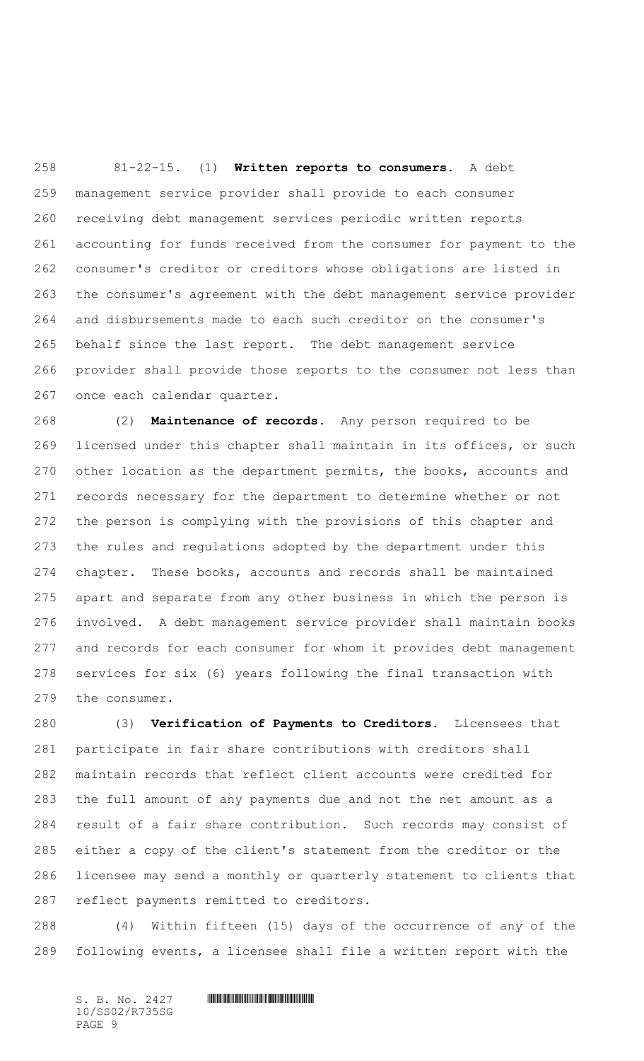81-22-15. (1) **Written reports to consumers.** A debt management service provider shall provide to each consumer receiving debt management services periodic written reports accounting for funds received from the consumer for payment to the consumer's creditor or creditors whose obligations are listed in the consumer's agreement with the debt management service provider and disbursements made to each such creditor on the consumer's behalf since the last report. The debt management service provider shall provide those reports to the consumer not less than once each calendar quarter.

 (2) **Maintenance of records.** Any person required to be licensed under this chapter shall maintain in its offices, or such other location as the department permits, the books, accounts and records necessary for the department to determine whether or not the person is complying with the provisions of this chapter and the rules and regulations adopted by the department under this chapter. These books, accounts and records shall be maintained apart and separate from any other business in which the person is involved. A debt management service provider shall maintain books and records for each consumer for whom it provides debt management services for six (6) years following the final transaction with the consumer.

 (3) **Verification of Payments to Creditors.** Licensees that participate in fair share contributions with creditors shall maintain records that reflect client accounts were credited for the full amount of any payments due and not the net amount as a result of a fair share contribution. Such records may consist of either a copy of the client's statement from the creditor or the licensee may send a monthly or quarterly statement to clients that reflect payments remitted to creditors.

 (4) Within fifteen (15) days of the occurrence of any of the following events, a licensee shall file a written report with the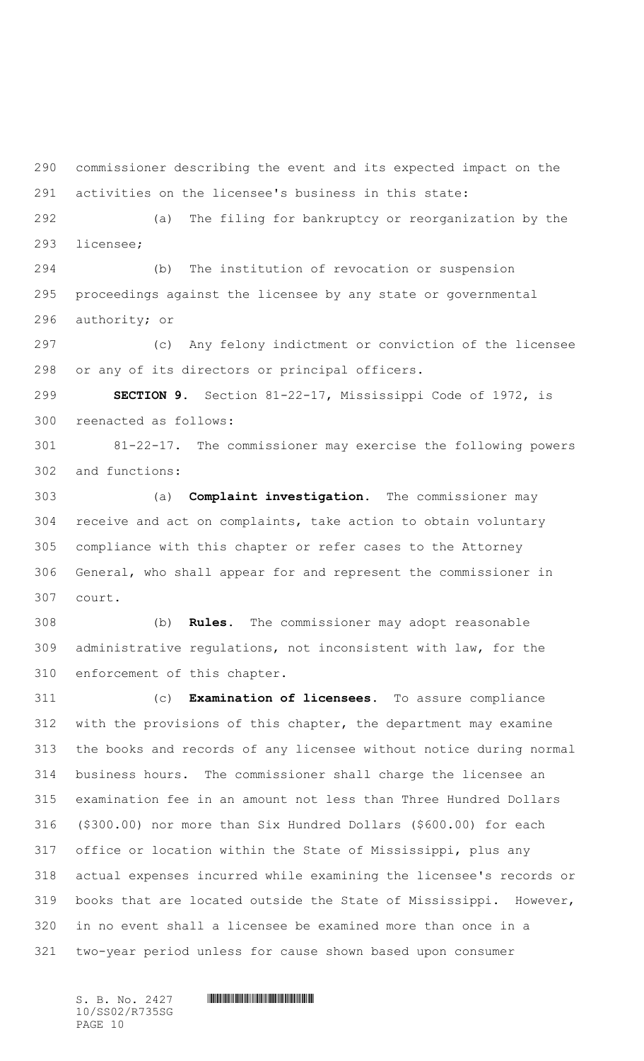commissioner describing the event and its expected impact on the activities on the licensee's business in this state: (a) The filing for bankruptcy or reorganization by the licensee; (b) The institution of revocation or suspension proceedings against the licensee by any state or governmental

authority; or

 (c) Any felony indictment or conviction of the licensee or any of its directors or principal officers.

 **SECTION 9.** Section 81-22-17, Mississippi Code of 1972, is reenacted as follows:

 81-22-17. The commissioner may exercise the following powers and functions:

 (a) **Complaint investigation.** The commissioner may receive and act on complaints, take action to obtain voluntary compliance with this chapter or refer cases to the Attorney General, who shall appear for and represent the commissioner in court.

 (b) **Rules.** The commissioner may adopt reasonable administrative regulations, not inconsistent with law, for the enforcement of this chapter.

 (c) **Examination of licensees.** To assure compliance with the provisions of this chapter, the department may examine the books and records of any licensee without notice during normal business hours. The commissioner shall charge the licensee an examination fee in an amount not less than Three Hundred Dollars (\$300.00) nor more than Six Hundred Dollars (\$600.00) for each office or location within the State of Mississippi, plus any actual expenses incurred while examining the licensee's records or books that are located outside the State of Mississippi. However, in no event shall a licensee be examined more than once in a two-year period unless for cause shown based upon consumer

10/SS02/R735SG PAGE 10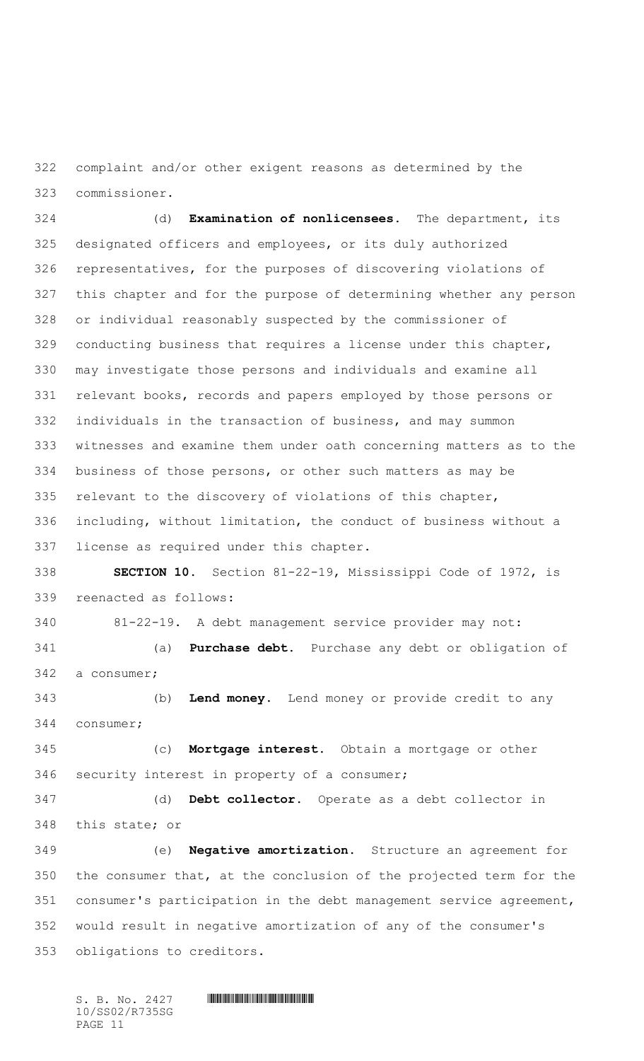complaint and/or other exigent reasons as determined by the commissioner.

 (d) **Examination of nonlicensees.** The department, its designated officers and employees, or its duly authorized representatives, for the purposes of discovering violations of this chapter and for the purpose of determining whether any person or individual reasonably suspected by the commissioner of conducting business that requires a license under this chapter, may investigate those persons and individuals and examine all relevant books, records and papers employed by those persons or individuals in the transaction of business, and may summon witnesses and examine them under oath concerning matters as to the business of those persons, or other such matters as may be relevant to the discovery of violations of this chapter, including, without limitation, the conduct of business without a license as required under this chapter. **SECTION 10.** Section 81-22-19, Mississippi Code of 1972, is reenacted as follows: 81-22-19. A debt management service provider may not: (a) **Purchase debt.** Purchase any debt or obligation of a consumer; (b) **Lend money.** Lend money or provide credit to any consumer; (c) **Mortgage interest.** Obtain a mortgage or other security interest in property of a consumer; (d) **Debt collector.** Operate as a debt collector in this state; or (e) **Negative amortization.** Structure an agreement for the consumer that, at the conclusion of the projected term for the consumer's participation in the debt management service agreement, would result in negative amortization of any of the consumer's obligations to creditors.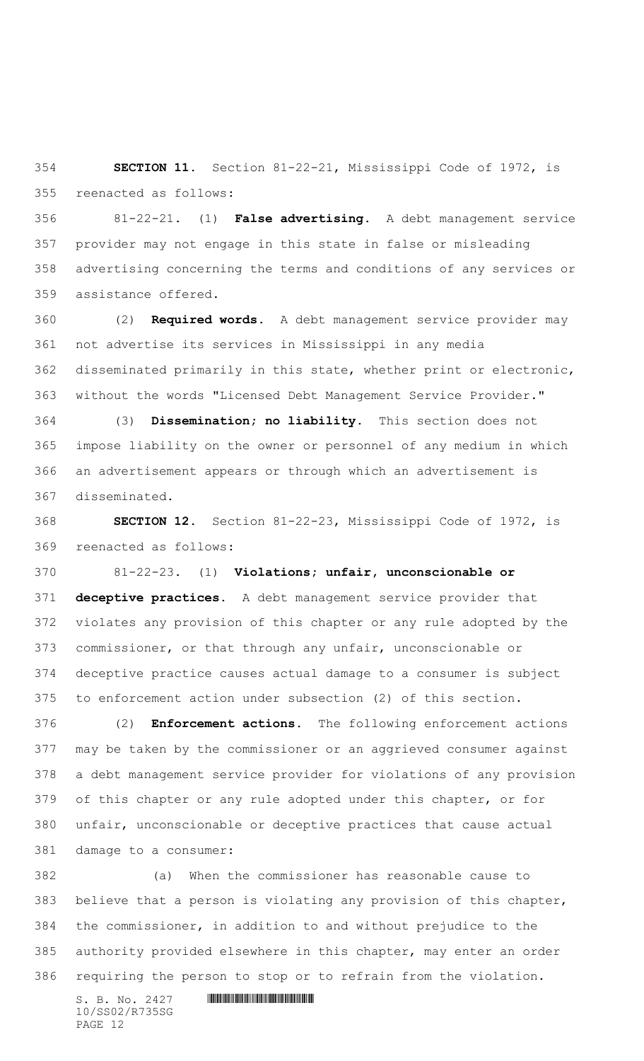**SECTION 11.** Section 81-22-21, Mississippi Code of 1972, is reenacted as follows:

 81-22-21. (1) **False advertising.** A debt management service provider may not engage in this state in false or misleading advertising concerning the terms and conditions of any services or assistance offered.

 (2) **Required words.** A debt management service provider may not advertise its services in Mississippi in any media disseminated primarily in this state, whether print or electronic, without the words "Licensed Debt Management Service Provider."

 (3) **Dissemination; no liability.** This section does not impose liability on the owner or personnel of any medium in which an advertisement appears or through which an advertisement is disseminated.

 **SECTION 12.** Section 81-22-23, Mississippi Code of 1972, is reenacted as follows:

 81-22-23. (1) **Violations; unfair, unconscionable or deceptive practices.** A debt management service provider that violates any provision of this chapter or any rule adopted by the commissioner, or that through any unfair, unconscionable or deceptive practice causes actual damage to a consumer is subject to enforcement action under subsection (2) of this section.

 (2) **Enforcement actions.** The following enforcement actions may be taken by the commissioner or an aggrieved consumer against a debt management service provider for violations of any provision of this chapter or any rule adopted under this chapter, or for unfair, unconscionable or deceptive practices that cause actual damage to a consumer:

 (a) When the commissioner has reasonable cause to believe that a person is violating any provision of this chapter, the commissioner, in addition to and without prejudice to the authority provided elsewhere in this chapter, may enter an order requiring the person to stop or to refrain from the violation.

10/SS02/R735SG PAGE 12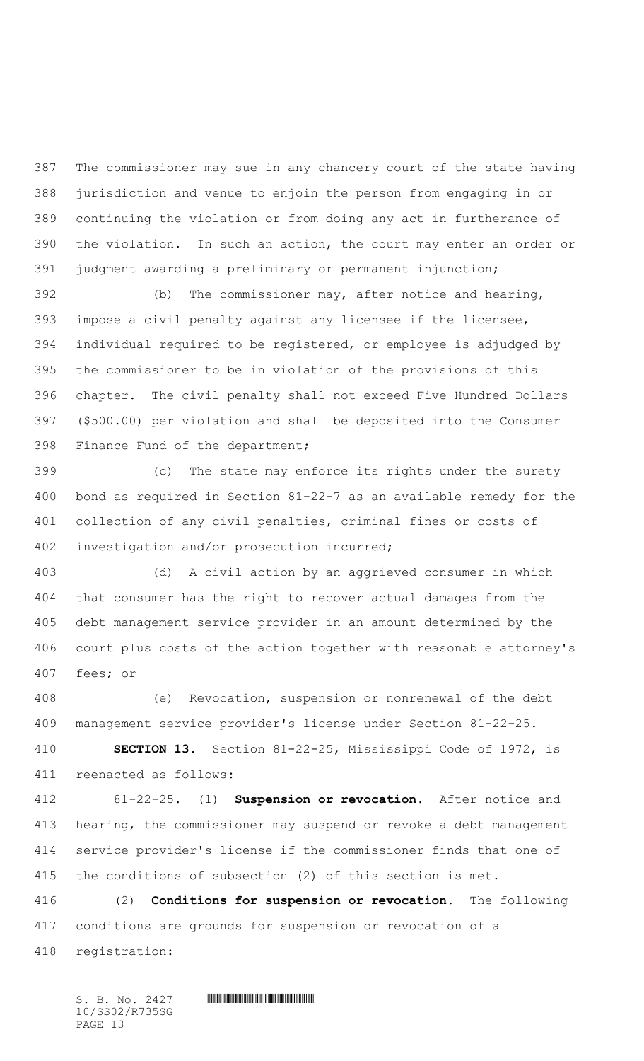The commissioner may sue in any chancery court of the state having jurisdiction and venue to enjoin the person from engaging in or continuing the violation or from doing any act in furtherance of the violation. In such an action, the court may enter an order or judgment awarding a preliminary or permanent injunction;

 (b) The commissioner may, after notice and hearing, impose a civil penalty against any licensee if the licensee, individual required to be registered, or employee is adjudged by the commissioner to be in violation of the provisions of this chapter. The civil penalty shall not exceed Five Hundred Dollars (\$500.00) per violation and shall be deposited into the Consumer Finance Fund of the department;

 (c) The state may enforce its rights under the surety bond as required in Section 81-22-7 as an available remedy for the collection of any civil penalties, criminal fines or costs of investigation and/or prosecution incurred;

 (d) A civil action by an aggrieved consumer in which that consumer has the right to recover actual damages from the debt management service provider in an amount determined by the court plus costs of the action together with reasonable attorney's fees; or

 (e) Revocation, suspension or nonrenewal of the debt management service provider's license under Section 81-22-25**.**

 **SECTION 13.** Section 81-22-25, Mississippi Code of 1972, is reenacted as follows:

 81-22-25. (1) **Suspension or revocation.** After notice and hearing, the commissioner may suspend or revoke a debt management service provider's license if the commissioner finds that one of the conditions of subsection (2) of this section is met.

 (2) **Conditions for suspension or revocation.** The following conditions are grounds for suspension or revocation of a registration: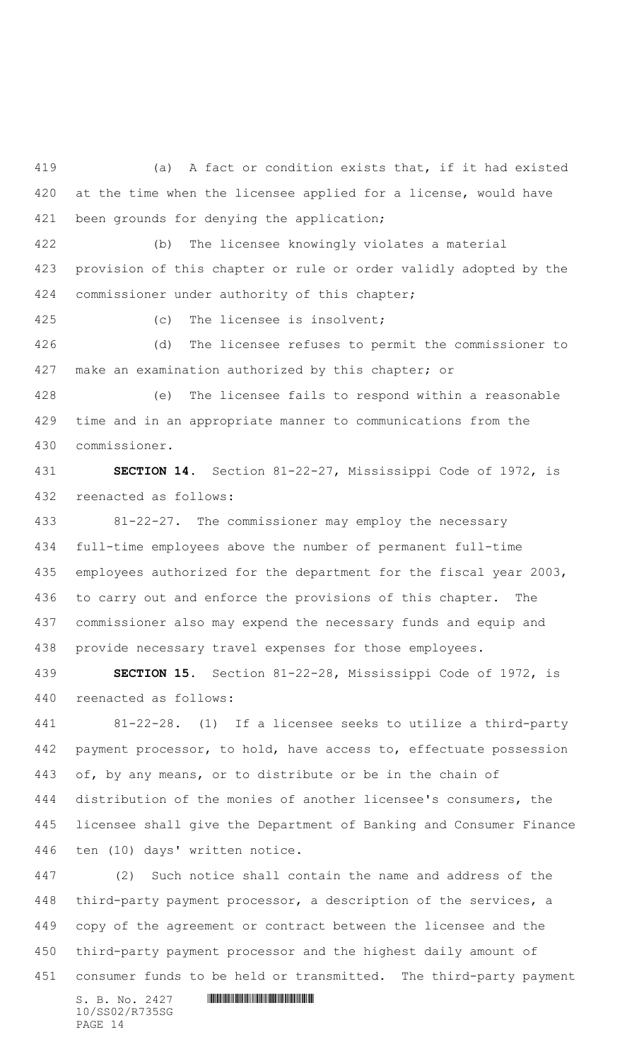(a) A fact or condition exists that, if it had existed at the time when the licensee applied for a license, would have 421 been grounds for denying the application; (b) The licensee knowingly violates a material provision of this chapter or rule or order validly adopted by the commissioner under authority of this chapter; (c) The licensee is insolvent; (d) The licensee refuses to permit the commissioner to make an examination authorized by this chapter; or (e) The licensee fails to respond within a reasonable time and in an appropriate manner to communications from the commissioner. **SECTION 14.** Section 81-22-27, Mississippi Code of 1972, is reenacted as follows: 81-22-27. The commissioner may employ the necessary full-time employees above the number of permanent full-time employees authorized for the department for the fiscal year 2003,

 to carry out and enforce the provisions of this chapter. The commissioner also may expend the necessary funds and equip and provide necessary travel expenses for those employees.

 **SECTION 15.** Section 81-22-28, Mississippi Code of 1972, is reenacted as follows:

 81-22-28. (1) If a licensee seeks to utilize a third-party 442 payment processor, to hold, have access to, effectuate possession of, by any means, or to distribute or be in the chain of distribution of the monies of another licensee's consumers, the licensee shall give the Department of Banking and Consumer Finance ten (10) days' written notice.

 (2) Such notice shall contain the name and address of the third-party payment processor, a description of the services, a copy of the agreement or contract between the licensee and the third-party payment processor and the highest daily amount of consumer funds to be held or transmitted. The third-party payment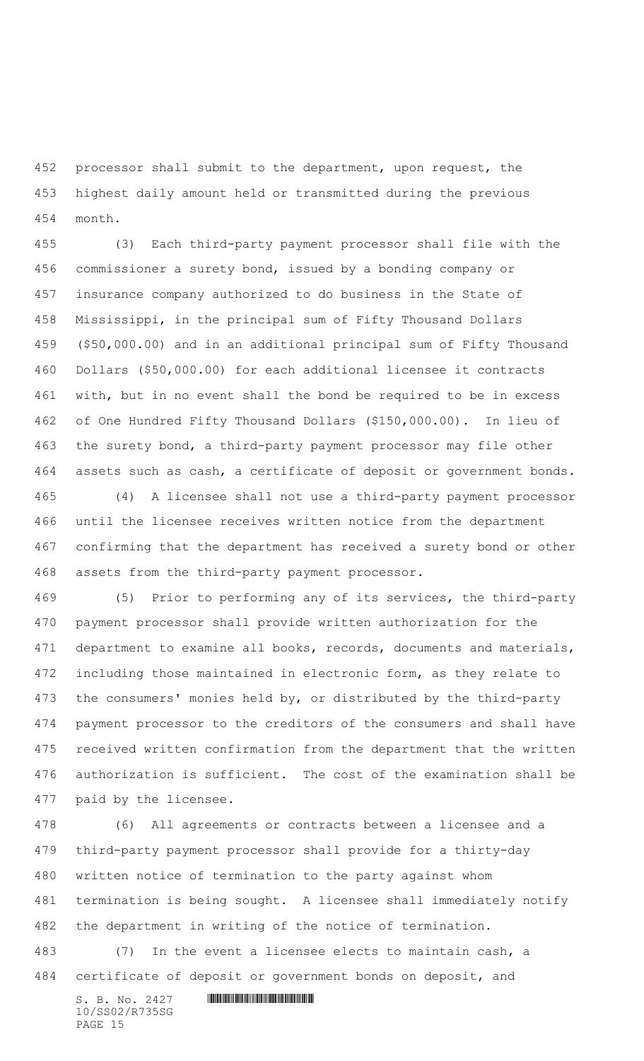processor shall submit to the department, upon request, the highest daily amount held or transmitted during the previous month.

 (3) Each third-party payment processor shall file with the commissioner a surety bond, issued by a bonding company or insurance company authorized to do business in the State of Mississippi, in the principal sum of Fifty Thousand Dollars (\$50,000.00) and in an additional principal sum of Fifty Thousand Dollars (\$50,000.00) for each additional licensee it contracts with, but in no event shall the bond be required to be in excess of One Hundred Fifty Thousand Dollars (\$150,000.00). In lieu of the surety bond, a third-party payment processor may file other assets such as cash, a certificate of deposit or government bonds.

 (4) A licensee shall not use a third-party payment processor until the licensee receives written notice from the department confirming that the department has received a surety bond or other assets from the third-party payment processor.

 (5) Prior to performing any of its services, the third-party payment processor shall provide written authorization for the 471 department to examine all books, records, documents and materials, including those maintained in electronic form, as they relate to the consumers' monies held by, or distributed by the third-party payment processor to the creditors of the consumers and shall have received written confirmation from the department that the written authorization is sufficient. The cost of the examination shall be paid by the licensee.

 (6) All agreements or contracts between a licensee and a third-party payment processor shall provide for a thirty-day written notice of termination to the party against whom termination is being sought. A licensee shall immediately notify the department in writing of the notice of termination.

 (7) In the event a licensee elects to maintain cash, a certificate of deposit or government bonds on deposit, and

 $S. B. No. 2427$  **INSIGRAPHENT CONSUMING A** 10/SS02/R735SG PAGE 15